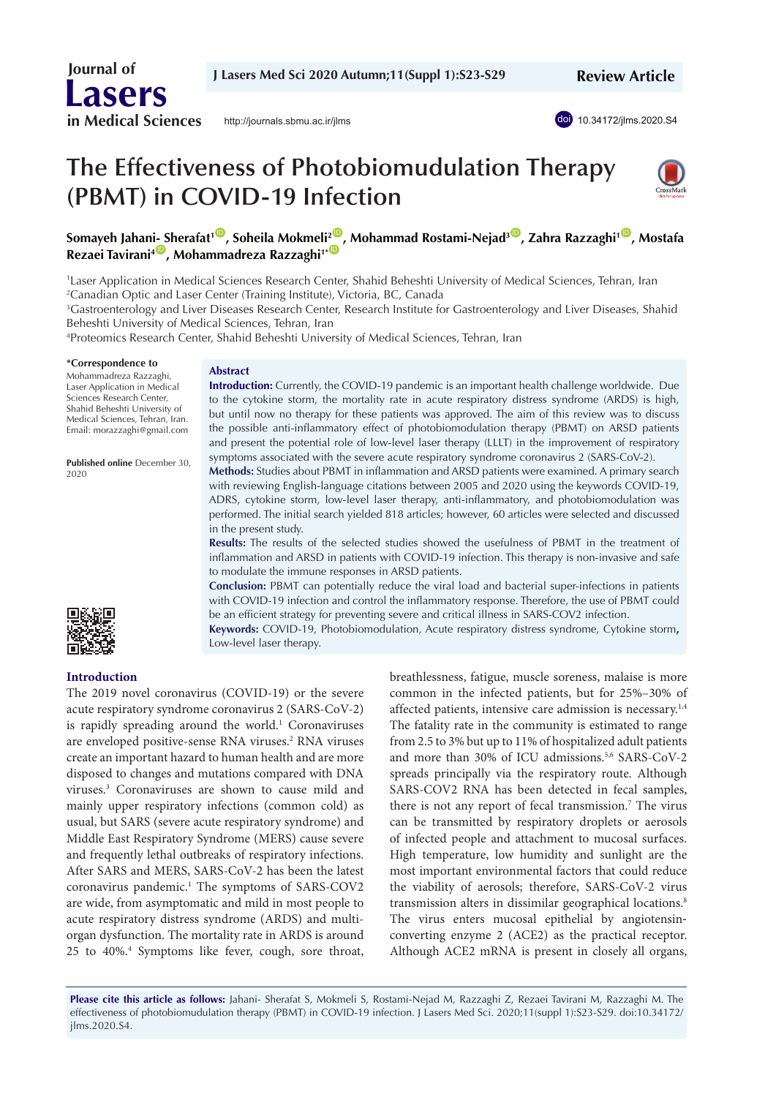

<http://journals.sbmu.ac.ir/jlms>

doi [10.34172/jlms.2020.S4](https://doi.org/10.34172/jlms.2020.S4)

# **The Effectiveness of Photobiomudulation Therapy (PBMT) in COVID-19 Infection**



**Somayeh Jahan[i- S](https://orcid.org/0000-0003-1767-7475)herafat1** [ID](https://orcid.org/0000-0002-9222-9536) **, Soheila Mokmeli2** [ID](https://orcid.org/0000-0003-3238-3029) **, Mohammad Rostami-Nejad3** [ID](https://orcid.org/0000-0003-2495-1831) **, Zahra Razzaghi1** [ID](https://orcid.org/0000-0003-0039-9501) **, Mostafa Rezaei Tavirani<sup>4</sup><sup>0</sup>, Mohammadreza Razzaghi<sup>1\*</sup><sup>0</sup>** 

1 Laser Application in Medical Sciences Research Center, Shahid Beheshti University of Medical Sciences, Tehran, Iran 2 Canadian Optic and Laser Center (Training Institute), Victoria, BC, Canada

3 Gastroenterology and Liver Diseases Research Center, Research Institute for Gastroenterology and Liver Diseases, Shahid Beheshti University of Medical Sciences, Tehran, Iran

4 Proteomics Research Center, Shahid Beheshti University of Medical Sciences, Tehran, Iran

#### **\*Correspondence to**

Mohammadreza Razzaghi, Laser Application in Medical Sciences Research Center, Shahid Beheshti University of Medical Sciences, Tehran, Iran. Email: morazzaghi@gmail.com

**Published online** December 30, 2020

**Introduction**

#### **Abstract**

**Introduction:** Currently, the COVID-19 pandemic is an important health challenge worldwide. Due to the cytokine storm, the mortality rate in acute respiratory distress syndrome (ARDS) is high, but until now no therapy for these patients was approved. The aim of this review was to discuss the possible anti-inflammatory effect of photobiomodulation therapy (PBMT) on ARSD patients and present the potential role of low-level laser therapy (LLLT) in the improvement of respiratory symptoms associated with the severe acute respiratory syndrome coronavirus 2 (SARS-CoV-2).

**Methods:** Studies about PBMT in inflammation and ARSD patients were examined. A primary search with reviewing English-language citations between 2005 and 2020 using the keywords COVID-19, ADRS, cytokine storm, low-level laser therapy, anti-inflammatory, and photobiomodulation was performed. The initial search yielded 818 articles; however, 60 articles were selected and discussed in the present study.

**Results:** The results of the selected studies showed the usefulness of PBMT in the treatment of inflammation and ARSD in patients with COVID-19 infection. This therapy is non-invasive and safe to modulate the immune responses in ARSD patients.

**Conclusion:** PBMT can potentially reduce the viral load and bacterial super-infections in patients with COVID-19 infection and control the inflammatory response. Therefore, the use of PBMT could be an efficient strategy for preventing severe and critical illness in SARS-COV2 infection.

**Keywords:** COVID-19, Photobiomodulation, Acute respiratory distress syndrome, Cytokine storm**,**  Low-level laser therapy.

The 2019 novel coronavirus (COVID-19) or the severe acute respiratory syndrome coronavirus 2 (SARS-CoV-2) is rapidly spreading around the world.<sup>1</sup> Coronaviruses are enveloped positive-sense RNA viruses.<sup>2</sup> RNA viruses create an important hazard to human health and are more disposed to changes and mutations compared with DNA viruses.3 Coronaviruses are shown to cause mild and mainly upper respiratory infections (common cold) as usual, but SARS (severe acute respiratory syndrome) and Middle East Respiratory Syndrome (MERS) cause severe and frequently lethal outbreaks of respiratory infections. After SARS and MERS, SARS-CoV-2 has been the latest coronavirus pandemic.1 The symptoms of SARS-COV2 are wide, from asymptomatic and mild in most people to acute respiratory distress syndrome (ARDS) and multiorgan dysfunction. The mortality rate in ARDS is around 25 to 40%.<sup>4</sup> Symptoms like fever, cough, sore throat, breathlessness, fatigue, muscle soreness, malaise is more common in the infected patients, but for 25%–30% of affected patients, intensive care admission is necessary.1,4 The fatality rate in the community is estimated to range from 2.5 to 3% but up to 11% of hospitalized adult patients and more than 30% of ICU admissions.<sup>5,6</sup> SARS-CoV-2 spreads principally via the respiratory route. Although SARS-COV2 RNA has been detected in fecal samples, there is not any report of fecal transmission.<sup>7</sup> The virus can be transmitted by respiratory droplets or aerosols of infected people and attachment to mucosal surfaces. High temperature, low humidity and sunlight are the most important environmental factors that could reduce the viability of aerosols; therefore, SARS-CoV-2 virus transmission alters in dissimilar geographical locations.<sup>8</sup> The virus enters mucosal epithelial by angiotensinconverting enzyme 2 (ACE2) as the practical receptor. Although ACE2 mRNA is present in closely all organs,

**Please cite this article as follows:** Jahani- Sherafat S, Mokmeli S, Rostami-Nejad M, Razzaghi Z, Rezaei Tavirani M, Razzaghi M. The effectiveness of photobiomudulation therapy (PBMT) in COVID-19 infection. J Lasers Med Sci. 2020;11(suppl 1):S23-S29. doi:10.34172/ jlms.2020.S4.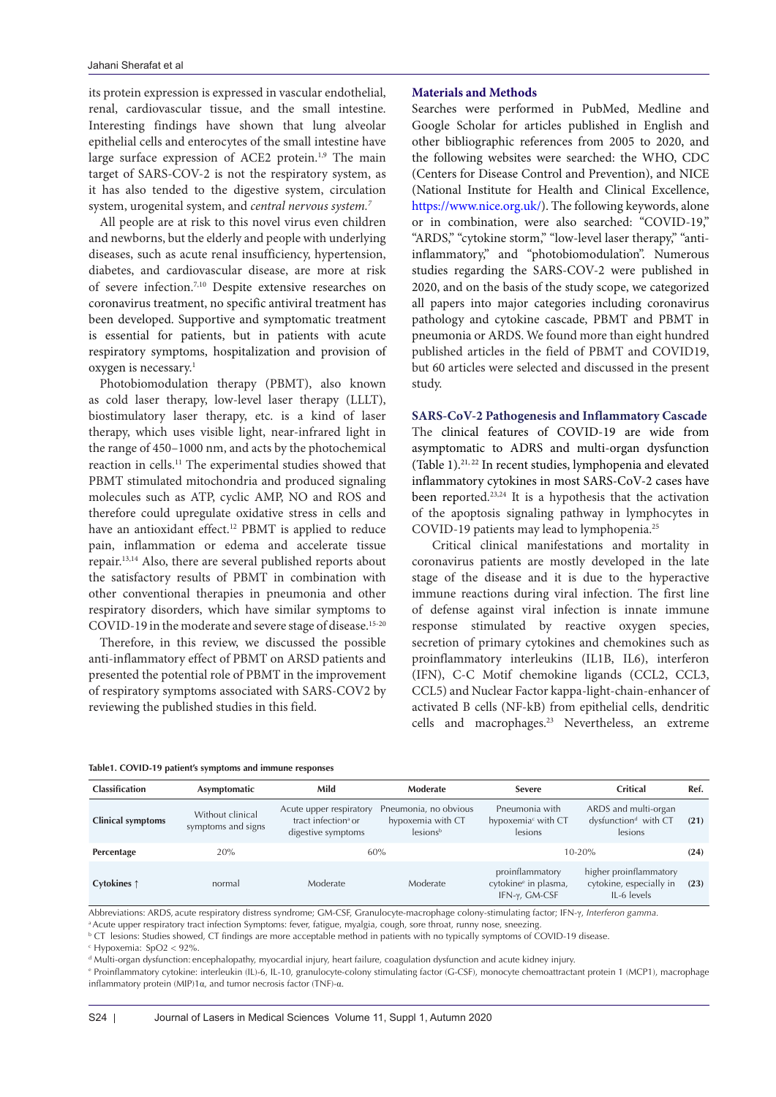its protein expression is expressed in vascular endothelial, renal, cardiovascular tissue, and the small intestine. Interesting findings have shown that lung alveolar epithelial cells and enterocytes of the small intestine have large surface expression of ACE2 protein.<sup>1,9</sup> The main target of SARS-COV-2 is not the respiratory system, as it has also tended to the digestive system, circulation system, urogenital system, and *central nervous system.7* 

All people are at risk to this novel virus even children and newborns, but the elderly and people with underlying diseases, such as acute renal insufficiency, hypertension, diabetes, and cardiovascular disease, are more at risk of severe infection.7,10 Despite extensive researches on coronavirus treatment, no specific antiviral treatment has been developed. Supportive and symptomatic treatment is essential for patients, but in patients with acute respiratory symptoms, hospitalization and provision of oxygen is necessary.1

Photobiomodulation therapy (PBMT), also known as cold laser therapy, low-level laser therapy (LLLT), biostimulatory laser therapy, etc. is a kind of laser therapy, which uses visible light, near-infrared light in the range of 450–1000 nm, and acts by the photochemical reaction in cells.11 The experimental studies showed that PBMT stimulated mitochondria and produced signaling molecules such as ATP, cyclic AMP, NO and ROS and therefore could upregulate oxidative stress in cells and have an antioxidant effect.<sup>12</sup> PBMT is applied to reduce pain, inflammation or edema and accelerate tissue repair.13,14 Also, there are several published reports about the satisfactory results of PBMT in combination with other conventional therapies in pneumonia and other respiratory disorders, which have similar symptoms to COVID-19 in the moderate and severe stage of disease.<sup>15-20</sup>

Therefore, in this review, we discussed the possible anti-inflammatory effect of PBMT on ARSD patients and presented the potential role of PBMT in the improvement of respiratory symptoms associated with SARS-COV2 by reviewing the published studies in this field.

## **Materials and Methods**

Searches were performed in PubMed, Medline and Google Scholar for articles published in English and other bibliographic references from 2005 to 2020, and the following websites were searched: the WHO, CDC (Centers for Disease Control and Prevention), and NICE (National Institute for Health and Clinical Excellence, <https://www.nice.org.uk/>). The following keywords, alone or in combination, were also searched: "COVID-19," "ARDS," "cytokine storm," "low-level laser therapy," "antiinflammatory," and "photobiomodulation". Numerous studies regarding the SARS-COV-2 were published in 2020, and on the basis of the study scope, we categorized all papers into major categories including coronavirus pathology and cytokine cascade, PBMT and PBMT in pneumonia or ARDS. We found more than eight hundred published articles in the field of PBMT and COVID19, but 60 articles were selected and discussed in the present study.

**SARS-CoV-2 Pathogenesis and Inflammatory Cascade** The clinical features of COVID-19 are wide from asymptomatic to ADRS and multi-organ dysfunction (Table 1).21, 22 In recent studies, lymphopenia and elevated inflammatory cytokines in most SARS-CoV-2 cases have been reported.23,24 It is a hypothesis that the activation of the apoptosis signaling pathway in lymphocytes in COVID-19 patients may lead to lymphopenia.25

 Critical clinical manifestations and mortality in coronavirus patients are mostly developed in the late stage of the disease and it is due to the hyperactive immune reactions during viral infection. The first line of defense against viral infection is innate immune response stimulated by reactive oxygen species, secretion of primary cytokines and chemokines such as proinflammatory interleukins (IL1B, IL6), interferon (IFN), C-C Motif chemokine ligands (CCL2, CCL3, CCL5) and Nuclear Factor kappa-light-chain-enhancer of activated B cells (NF-kB) from epithelial cells, dendritic cells and macrophages.<sup>23</sup> Nevertheless, an extreme

#### **Table1. COVID-19 patient's symptoms and immune responses**

| <b>Classification</b>    | Asymptomatic                           | Mild                                                                             | Moderate                                                           | <b>Severe</b>                                                        | Critical                                                            | Ref. |
|--------------------------|----------------------------------------|----------------------------------------------------------------------------------|--------------------------------------------------------------------|----------------------------------------------------------------------|---------------------------------------------------------------------|------|
| <b>Clinical symptoms</b> | Without clinical<br>symptoms and signs | Acute upper respiratory<br>tract infection <sup>a</sup> or<br>digestive symptoms | Pneumonia, no obvious<br>hypoxemia with CT<br>lesions <sup>b</sup> | Pneumonia with<br>hypoxemia <sup>c</sup> with CT<br>lesions          | ARDS and multi-organ<br>dysfunction <sup>d</sup> with CT<br>lesions | (21) |
| Percentage               | 20%                                    | 60%                                                                              |                                                                    | $10 - 20%$                                                           |                                                                     |      |
| Cytokines ↑              | normal                                 | Moderate                                                                         | Moderate                                                           | proinflammatory<br>cytokine <sup>e</sup> in plasma,<br>IFN-y, GM-CSF | higher proinflammatory<br>cytokine, especially in<br>IL-6 levels    | (23) |

Abbreviations: ARDS, acute respiratory distress syndrome; GM-CSF, Granulocyte-macrophage colony-stimulating factor; IFN-γ, *Interferon gamma.*

a Acute upper respiratory tract infection Symptoms: fever, fatigue, myalgia, cough, sore throat, runny nose, sneezing.

**b CT** lesions: Studies showed, CT findings are more acceptable method in patients with no typically symptoms of COVID-19 disease.

c Hypoxemia: SpO2 < 92%.

d Multi-organ dysfunction: encephalopathy, myocardial injury, heart failure, coagulation dysfunction and acute kidney injury.

e Proinflammatory cytokine: interleukin (IL)-6, IL-10, granulocyte-colony stimulating factor (G-CSF), monocyte chemoattractant protein 1 (MCP1), macrophage inflammatory protein (MIP)1 $\alpha$ , and tumor necrosis factor (TNF)- $\alpha$ .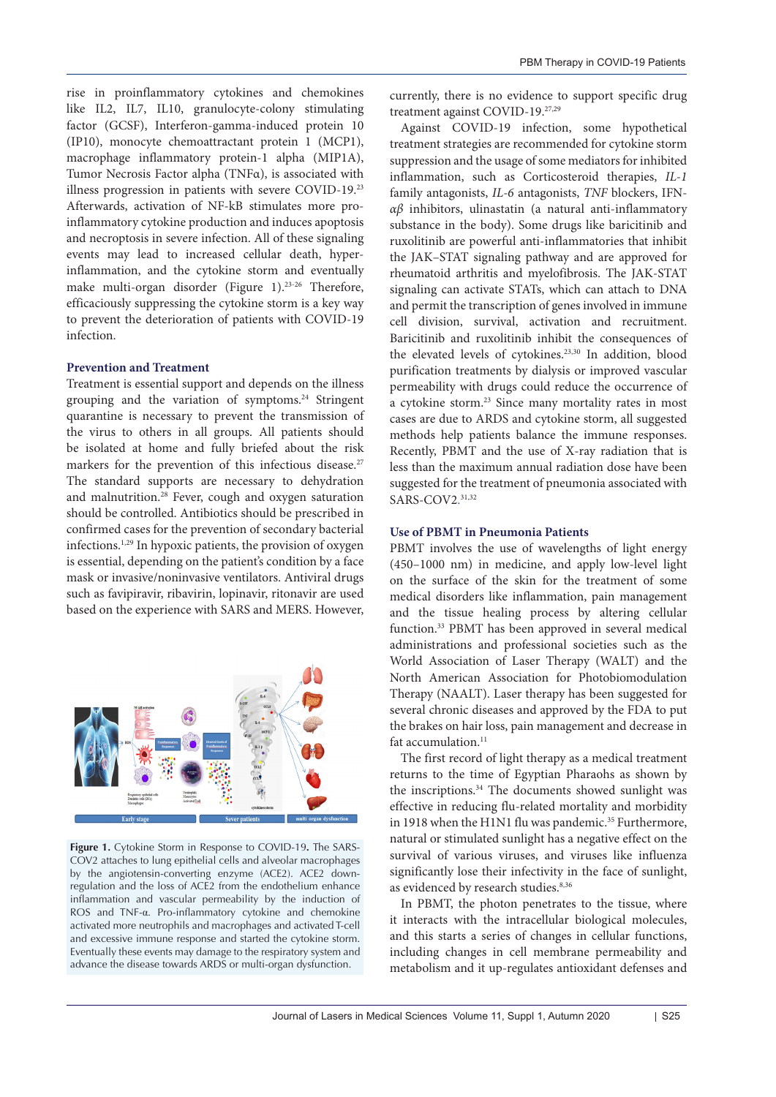rise in proinflammatory cytokines and chemokines like IL2, IL7, IL10, granulocyte-colony stimulating factor (GCSF), Interferon-gamma-induced protein 10 (IP10), monocyte chemoattractant protein 1 (MCP1), macrophage inflammatory protein-1 alpha (MIP1A), Tumor Necrosis Factor alpha (TNFα), is associated with illness progression in patients with severe COVID-19.23 Afterwards, activation of NF-kB stimulates more proinflammatory cytokine production and induces apoptosis and necroptosis in severe infection. All of these signaling events may lead to increased cellular death, hyperinflammation, and the cytokine storm and eventually make multi-organ disorder (Figure 1).<sup>23-26</sup> Therefore, efficaciously suppressing the cytokine storm is a key way to prevent the deterioration of patients with COVID-19 infection.

## **Prevention and Treatment**

Treatment is essential support and depends on the illness grouping and the variation of symptoms.24 Stringent quarantine is necessary to prevent the transmission of the virus to others in all groups. All patients should be isolated at home and fully briefed about the risk markers for the prevention of this infectious disease.<sup>27</sup> The standard supports are necessary to dehydration and malnutrition.<sup>28</sup> Fever, cough and oxygen saturation should be controlled. Antibiotics should be prescribed in confirmed cases for the prevention of secondary bacterial infections.1,29 In hypoxic patients, the provision of oxygen is essential, depending on the patient's condition by a face mask or invasive/noninvasive ventilators. Antiviral drugs such as favipiravir, ribavirin, lopinavir, ritonavir are used based on the experience with SARS and MERS. However,



**Figure 1.** Cytokine Storm in Response to COVID-19**.** The SARS-COV2 attaches to lung epithelial cells and alveolar macrophages by the angiotensin-converting enzyme (ACE2). ACE2 downregulation and the loss of ACE2 from the endothelium enhance inflammation and vascular permeability by the induction of ROS and TNF-α. Pro-inflammatory cytokine and chemokine activated more neutrophils and macrophages and activated T-cell and excessive immune response and started the cytokine storm. Eventually these events may damage to the respiratory system and advance the disease towards ARDS or multi-organ dysfunction.

currently, there is no evidence to support specific drug treatment against COVID-19.27,29

Against COVID-19 infection, some hypothetical treatment strategies are recommended for cytokine storm suppression and the usage of some mediators for inhibited inflammation, such as Corticosteroid therapies, *IL-1* family antagonists, *IL-6* antagonists, *TNF* blockers, IFN*αβ* inhibitors, ulinastatin (a natural anti-inflammatory substance in the body). Some drugs like baricitinib and ruxolitinib are powerful anti-inflammatories that inhibit the JAK–STAT signaling pathway and are approved for rheumatoid arthritis and myelofibrosis. The JAK-STAT signaling can activate STATs, which can attach to DNA and permit the transcription of genes involved in immune cell division, survival, activation and recruitment. Baricitinib and ruxolitinib inhibit the consequences of the elevated levels of cytokines.23,30 In addition, blood purification treatments by dialysis or improved vascular permeability with drugs could reduce the occurrence of a cytokine storm.23 Since many mortality rates in most cases are due to ARDS and cytokine storm, all suggested methods help patients balance the immune responses. Recently, PBMT and the use of X-ray radiation that is less than the maximum annual radiation dose have been suggested for the treatment of pneumonia associated with SARS-COV2. 31,32

## **Use of PBMT in Pneumonia Patients**

PBMT involves the use of wavelengths of light energy (450–1000 nm) in medicine, and apply low-level light on the surface of the skin for the treatment of some medical disorders like inflammation, pain management and the tissue healing process by altering cellular function.33 PBMT has been approved in several medical administrations and professional societies such as the World Association of Laser Therapy (WALT) and the North American Association for Photobiomodulation Therapy (NAALT). Laser therapy has been suggested for several chronic diseases and approved by the FDA to put the brakes on hair loss, pain management and decrease in fat accumulation.<sup>11</sup>

The first record of light therapy as a medical treatment returns to the time of Egyptian Pharaohs as shown by the inscriptions.<sup>34</sup> The documents showed sunlight was effective in reducing flu-related mortality and morbidity in 1918 when the H1N1 flu was pandemic.<sup>35</sup> Furthermore, natural or stimulated sunlight has a negative effect on the survival of various viruses, and viruses like influenza significantly lose their infectivity in the face of sunlight, as evidenced by research studies.<sup>8,36</sup>

In PBMT, the photon penetrates to the tissue, where it interacts with the intracellular biological molecules, and this starts a series of changes in cellular functions, including changes in cell membrane permeability and metabolism and it up-regulates antioxidant defenses and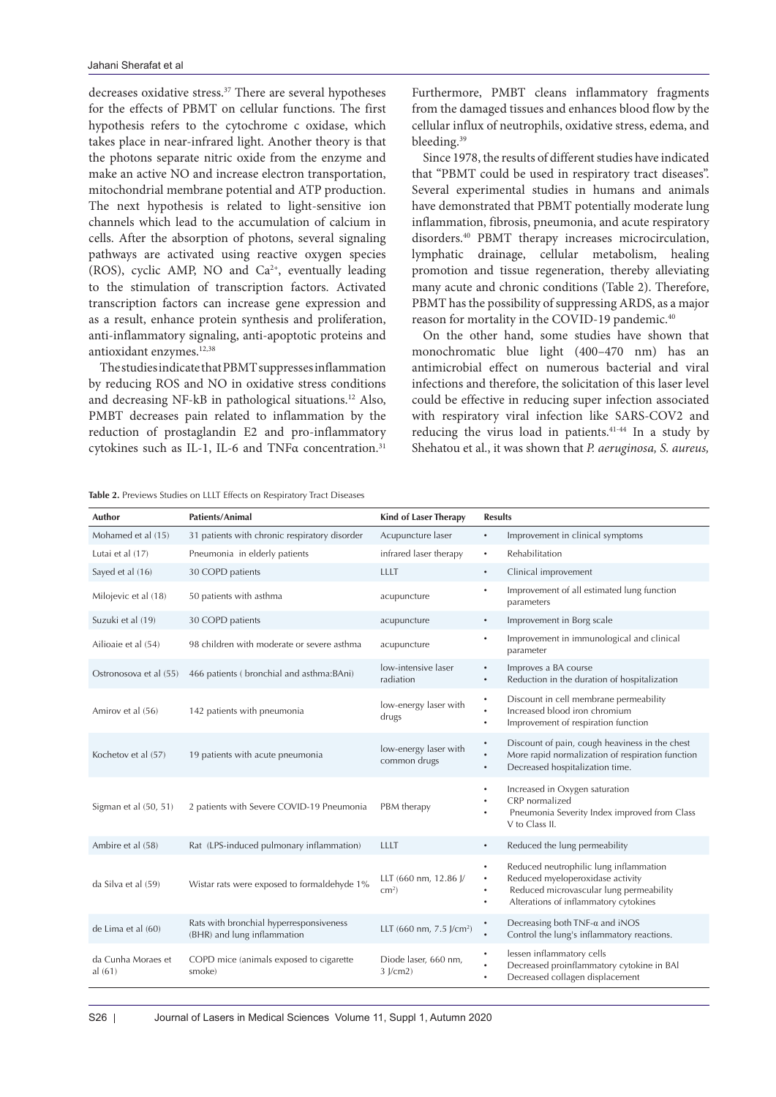decreases oxidative stress.<sup>37</sup> There are several hypotheses for the effects of PBMT on cellular functions. The first hypothesis refers to the cytochrome c oxidase, which takes place in near-infrared light. Another theory is that the photons separate nitric oxide from the enzyme and make an active NO and increase electron transportation, mitochondrial membrane potential and ATP production. The next hypothesis is related to light-sensitive ion channels which lead to the accumulation of calcium in cells. After the absorption of photons, several signaling pathways are activated using reactive oxygen species (ROS), cyclic AMP, NO and Ca<sup>2+</sup>, eventually leading to the stimulation of transcription factors. Activated transcription factors can increase gene expression and as a result, enhance protein synthesis and proliferation, anti-inflammatory signaling, anti-apoptotic proteins and antioxidant enzymes.12,38

The studies indicate that PBMT suppresses inflammation by reducing ROS and NO in oxidative stress conditions and decreasing NF-kB in pathological situations.12 Also, PMBT decreases pain related to inflammation by the reduction of prostaglandin E2 and pro-inflammatory cytokines such as IL-1, IL-6 and TNFα concentration.31

Furthermore, PMBT cleans inflammatory fragments from the damaged tissues and enhances blood flow by the cellular influx of neutrophils, oxidative stress, edema, and bleeding.<sup>39</sup>

Since 1978, the results of different studies have indicated that "PBMT could be used in respiratory tract diseases". Several experimental studies in humans and animals have demonstrated that PBMT potentially moderate lung inflammation, fibrosis, pneumonia, and acute respiratory disorders.40 PBMT therapy increases microcirculation, lymphatic drainage, cellular metabolism, healing promotion and tissue regeneration, thereby alleviating many acute and chronic conditions (Table 2). Therefore, PBMT has the possibility of suppressing ARDS, as a major reason for mortality in the COVID-19 pandemic.<sup>40</sup>

On the other hand, some studies have shown that monochromatic blue light (400–470 nm) has an antimicrobial effect on numerous bacterial and viral infections and therefore, the solicitation of this laser level could be effective in reducing super infection associated with respiratory viral infection like SARS-COV2 and reducing the virus load in patients.41-44 In a study by Shehatou et al., it was shown that *P. aeruginosa, S. aureus,* 

| Mohamed et al (15)            | 31 patients with chronic respiratory disorder                          | Acupuncture laser                     | $\bullet$                | Improvement in clinical symptoms                                                                                                                               |
|-------------------------------|------------------------------------------------------------------------|---------------------------------------|--------------------------|----------------------------------------------------------------------------------------------------------------------------------------------------------------|
| Lutai et al (17)              | Pneumonia in elderly patients                                          | infrared laser therapy                | $\bullet$                | Rehabilitation                                                                                                                                                 |
| Sayed et al (16)              | 30 COPD patients                                                       | <b>LLLT</b>                           | $\bullet$                | Clinical improvement                                                                                                                                           |
| Milojevic et al (18)          | 50 patients with asthma                                                | acupuncture                           | $\bullet$                | Improvement of all estimated lung function<br>parameters                                                                                                       |
| Suzuki et al (19)             | 30 COPD patients                                                       | acupuncture                           | $\bullet$                | Improvement in Borg scale                                                                                                                                      |
| Ailioaie et al (54)           | 98 children with moderate or severe asthma                             | acupuncture                           | $\bullet$                | Improvement in immunological and clinical<br>parameter                                                                                                         |
| Ostronosova et al (55)        | 466 patients (bronchial and asthma:BAni)                               | low-intensive laser<br>radiation      | $\bullet$<br>$\bullet$   | Improves a BA course<br>Reduction in the duration of hospitalization                                                                                           |
| Amirov et al (56)             | 142 patients with pneumonia                                            | low-energy laser with<br>drugs        | ٠<br>٠<br>$\bullet$      | Discount in cell membrane permeability<br>Increased blood iron chromium<br>Improvement of respiration function                                                 |
| Kochetov et al (57)           | 19 patients with acute pneumonia                                       | low-energy laser with<br>common drugs | $\bullet$<br>$\bullet$   | Discount of pain, cough heaviness in the chest<br>More rapid normalization of respiration function<br>Decreased hospitalization time.                          |
| Sigman et al (50, 51)         | 2 patients with Severe COVID-19 Pneumonia                              | PBM therapy                           | $\bullet$                | Increased in Oxygen saturation<br>CRP normalized<br>Pneumonia Severity Index improved from Class<br>V to Class II.                                             |
| Ambire et al (58)             | Rat (LPS-induced pulmonary inflammation)                               | LLLT                                  | $\bullet$                | Reduced the lung permeability                                                                                                                                  |
| da Silva et al (59)           | Wistar rats were exposed to formaldehyde 1%                            | LLT (660 nm, 12.86 J/<br>$cm2$ )      | $\bullet$<br>٠<br>٠<br>٠ | Reduced neutrophilic lung inflammation<br>Reduced myeloperoxidase activity<br>Reduced microvascular lung permeability<br>Alterations of inflammatory cytokines |
| de Lima et al (60)            | Rats with bronchial hyperresponsiveness<br>(BHR) and lung inflammation | LLT (660 nm, 7.5 J/cm <sup>2</sup> )  | $\bullet$                | Decreasing both $TNF-\alpha$ and $iNOS$<br>Control the lung's inflammatory reactions.                                                                          |
| da Cunha Moraes et<br>al (61) | COPD mice (animals exposed to cigarette<br>smoke)                      | Diode laser, 660 nm,<br>3 J/cm2)      | ٠<br>$\bullet$           | lessen inflammatory cells<br>Decreased proinflammatory cytokine in BAI<br>Decreased collagen displacement                                                      |
|                               |                                                                        |                                       |                          |                                                                                                                                                                |
|                               |                                                                        |                                       |                          |                                                                                                                                                                |

**Table 2.** Previews Studies on LLLT Effects on Respiratory Tract Diseases

**Author Patients/Animal Kind of Laser Therapy Results**

 $da$ al (61)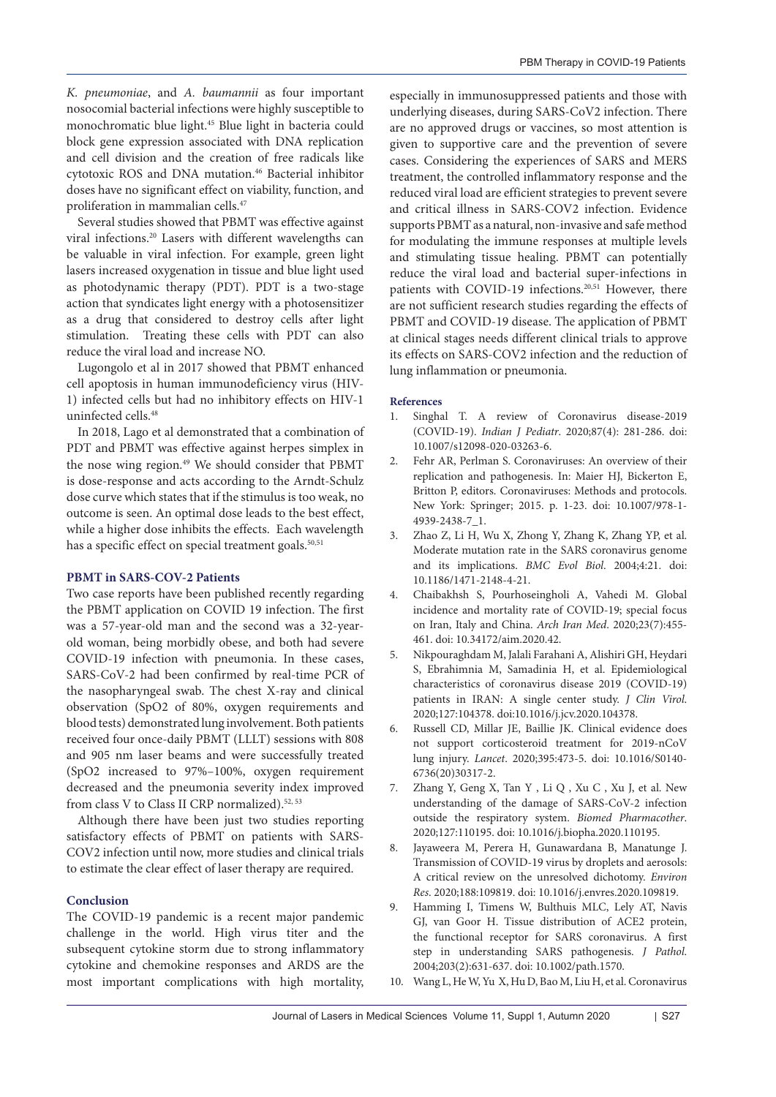*K. pneumoniae*, and *A. baumannii* as four important nosocomial bacterial infections were highly susceptible to monochromatic blue light.<sup>45</sup> Blue light in bacteria could block gene expression associated with DNA replication and cell division and the creation of free radicals like cytotoxic ROS and DNA mutation.46 Bacterial inhibitor doses have no significant effect on viability, function, and proliferation in mammalian cells.47

Several studies showed that PBMT was effective against viral infections.20 Lasers with different wavelengths can be valuable in viral infection. For example, green light lasers increased oxygenation in tissue and blue light used as photodynamic therapy (PDT). PDT is a two-stage action that syndicates light energy with a photosensitizer as a drug that considered to destroy cells after light stimulation. Treating these cells with PDT can also reduce the viral load and increase NO.

Lugongolo et al in 2017 showed that PBMT enhanced cell apoptosis in human immunodeficiency virus (HIV-1) infected cells but had no inhibitory effects on HIV-1 uninfected cells.48

In 2018, Lago et al demonstrated that a combination of PDT and PBMT was effective against herpes simplex in the nose wing region.<sup>49</sup> We should consider that PBMT is dose-response and acts according to the Arndt-Schulz dose curve which states that if the stimulus is too weak, no outcome is seen. An optimal dose leads to the best effect, while a higher dose inhibits the effects. Each wavelength has a specific effect on special treatment goals.<sup>50,51</sup>

## **PBMT in SARS-COV-2 Patients**

Two case reports have been published recently regarding the PBMT application on COVID 19 infection. The first was a 57-year-old man and the second was a 32-yearold woman, being morbidly obese, and both had severe COVID-19 infection with pneumonia. In these cases, SARS-CoV-2 had been confirmed by real-time PCR of the nasopharyngeal swab. The chest X-ray and clinical observation (SpO2 of 80%, oxygen requirements and blood tests) demonstrated lung involvement. Both patients received four once-daily PBMT (LLLT) sessions with 808 and 905 nm laser beams and were successfully treated (SpO2 increased to 97%–100%, oxygen requirement decreased and the pneumonia severity index improved from class V to Class II CRP normalized).<sup>52, 53</sup>

Although there have been just two studies reporting satisfactory effects of PBMT on patients with SARS-COV2 infection until now, more studies and clinical trials to estimate the clear effect of laser therapy are required.

### **Conclusion**

The COVID-19 pandemic is a recent major pandemic challenge in the world. High virus titer and the subsequent cytokine storm due to strong inflammatory cytokine and chemokine responses and ARDS are the most important complications with high mortality,

especially in immunosuppressed patients and those with underlying diseases, during SARS-CoV2 infection. There are no approved drugs or vaccines, so most attention is given to supportive care and the prevention of severe cases. Considering the experiences of SARS and MERS treatment, the controlled inflammatory response and the reduced viral load are efficient strategies to prevent severe and critical illness in SARS-COV2 infection. Evidence supports PBMT as a natural, non-invasive and safe method for modulating the immune responses at multiple levels and stimulating tissue healing. PBMT can potentially reduce the viral load and bacterial super-infections in patients with COVID-19 infections.<sup>20,51</sup> However, there are not sufficient research studies regarding the effects of PBMT and COVID-19 disease. The application of PBMT at clinical stages needs different clinical trials to approve its effects on SARS-COV2 infection and the reduction of lung inflammation or pneumonia.

#### **References**

- 1. Singhal T. A review of Coronavirus disease-2019 (COVID-19). *Indian J Pediatr*. 2020;87(4): 281-286. doi: 10.1007/s12098-020-03263-6.
- 2. Fehr AR, Perlman S. Coronaviruses: An overview of their replication and pathogenesis. In: Maier HJ, Bickerton E, Britton P, editors. Coronaviruses: Methods and protocols. New York: Springer; 2015. p. 1-23. doi: 10.1007/978-1- 4939-2438-7\_1.
- 3. Zhao Z, Li H, Wu X, Zhong Y, Zhang K, Zhang YP, et al. Moderate mutation rate in the SARS coronavirus genome and its implications. *BMC Evol Biol*. 2004;4:21. doi: 10.1186/1471-2148-4-21.
- 4. Chaibakhsh S, Pourhoseingholi A, Vahedi M. Global incidence and mortality rate of COVID-19; special focus on Iran, Italy and China. *Arch Iran Med*. 2020;23(7):455- 461. doi: 10.34172/aim.2020.42.
- 5. Nikpouraghdam M, Jalali Farahani A, Alishiri GH, Heydari S, Ebrahimnia M, Samadinia H, et al. Epidemiological characteristics of coronavirus disease 2019 (COVID-19) patients in IRAN: A single center study. *J Clin Virol*. 2020;127:104378. doi:10.1016/j.jcv.2020.104378.
- 6. Russell CD, Millar JE, Baillie JK. Clinical evidence does not support corticosteroid treatment for 2019-nCoV lung injury. *Lancet*. 2020;395:473-5. doi: 10.1016/S0140- 6736(20)30317-2.
- 7. Zhang Y, Geng X, Tan Y , Li Q , Xu C , Xu J, et al. New understanding of the damage of SARS-CoV-2 infection outside the respiratory system. *Biomed Pharmacother*. 2020;127:110195. doi: 10.1016/j.biopha.2020.110195.
- 8. Jayaweera M, Perera H, Gunawardana B, Manatunge J. Transmission of COVID-19 virus by droplets and aerosols: A critical review on the unresolved dichotomy. *Environ Res*. 2020;188:109819. doi: 10.1016/j.envres.2020.109819.
- 9. Hamming I, Timens W, Bulthuis MLC, Lely AT, Navis GJ, van Goor H. Tissue distribution of ACE2 protein, the functional receptor for SARS coronavirus. A first step in understanding SARS pathogenesis. *J Pathol*. 2004;203(2):631-637. doi: 10.1002/path.1570.
- 10. Wang L, He W, Yu X, Hu D, Bao M, Liu H, et al. Coronavirus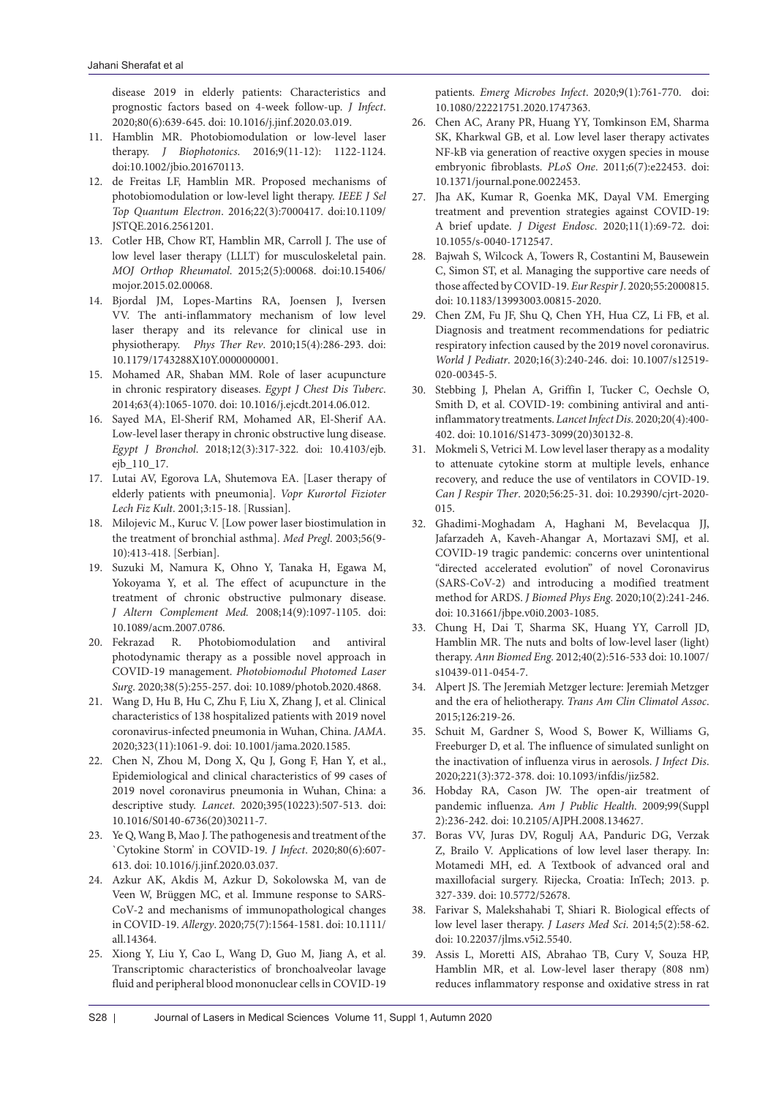disease 2019 in elderly patients: Characteristics and prognostic factors based on 4-week follow-up. *J Infect*. 2020;80(6):639-645. doi: 10.1016/j.jinf.2020.03.019.

- 11. Hamblin MR. Photobiomodulation or low-level laser therapy. *J Biophotonics*. 2016;9(11-12): 1122-1124. doi:10.1002/jbio.201670113.
- 12. de Freitas LF, Hamblin MR. Proposed mechanisms of photobiomodulation or low-level light therapy. *IEEE J Sel Top Quantum Electron*. 2016;22(3):7000417. doi:10.1109/ JSTQE.2016.2561201.
- 13. Cotler HB, Chow RT, Hamblin MR, Carroll J. The use of low level laser therapy (LLLT) for musculoskeletal pain. *MOJ Orthop Rheumatol*. 2015;2(5):00068. doi:10.15406/ mojor.2015.02.00068.
- 14. Bjordal JM, Lopes-Martins RA, Joensen J, Iversen VV. The anti-inflammatory mechanism of low level laser therapy and its relevance for clinical use in physiotherapy. *Phys Ther Rev*. 2010;15(4):286-293. doi: 10.1179/1743288X10Y.0000000001.
- 15. Mohamed AR, Shaban MM. Role of laser acupuncture in chronic respiratory diseases. *Egypt J Chest Dis Tuberc*. 2014;63(4):1065-1070. doi: 10.1016/j.ejcdt.2014.06.012.
- 16. Sayed MA, El-Sherif RM, Mohamed AR, El-Sherif AA. Low-level laser therapy in chronic obstructive lung disease. *Egypt J Bronchol*. 2018;12(3):317-322. doi: 10.4103/ejb. ejb\_110\_17.
- 17. Lutai AV, Egorova LA, Shutemova EA. [Laser therapy of elderly patients with pneumonia]. *Vopr Kurortol Fizioter Lech Fiz Kult*. 2001;3:15-18. [Russian].
- 18. Milojevic M., Kuruc V. [Low power laser biostimulation in the treatment of bronchial asthma]. *Med Pregl*. 2003;56(9- 10):413-418. [Serbian].
- 19. Suzuki M, Namura K, Ohno Y, Tanaka H, Egawa M, Yokoyama Y, et al*.* The effect of acupuncture in the treatment of chronic obstructive pulmonary disease. *J Altern Complement Med.* 2008;14(9):1097-1105. doi: 10.1089/acm.2007.0786.
- 20. Fekrazad R. Photobiomodulation and antiviral photodynamic therapy as a possible novel approach in COVID-19 management. *Photobiomodul Photomed Laser Surg*. 2020;38(5):255-257. doi: 10.1089/photob.2020.4868.
- 21. Wang D, Hu B, Hu C, Zhu F, Liu X, Zhang J, et al. Clinical characteristics of 138 hospitalized patients with 2019 novel coronavirus-infected pneumonia in Wuhan, China. *JAMA*. 2020;323(11):1061-9. doi: 10.1001/jama.2020.1585.
- 22. Chen N, Zhou M, Dong X, Qu J, Gong F, Han Y, et al., Epidemiological and clinical characteristics of 99 cases of 2019 novel coronavirus pneumonia in Wuhan, China: a descriptive study. *Lancet*. 2020;395(10223):507-513. doi: 10.1016/S0140-6736(20)30211-7.
- 23. Ye Q, Wang B, Mao J. The pathogenesis and treatment of the `Cytokine Storm' in COVID-19. *J Infect*. 2020;80(6):607- 613. doi: 10.1016/j.jinf.2020.03.037.
- 24. Azkur AK, Akdis M, Azkur D, Sokolowska M, van de Veen W, Brüggen MC, et al. Immune response to SARS-CoV-2 and mechanisms of immunopathological changes in COVID-19. *Allergy*. 2020;75(7):1564-1581. doi: 10.1111/ all.14364.
- 25. Xiong Y, Liu Y, Cao L, Wang D, Guo M, Jiang A, et al. Transcriptomic characteristics of bronchoalveolar lavage fluid and peripheral blood mononuclear cells in COVID-19

patients. *Emerg Microbes Infect*. 2020;9(1):761-770. doi: 10.1080/22221751.2020.1747363.

- 26. Chen AC, Arany PR, Huang YY, Tomkinson EM, Sharma SK, Kharkwal GB, et al. Low level laser therapy activates NF-kB via generation of reactive oxygen species in mouse embryonic fibroblasts. *PLoS One*. 2011;6(7):e22453. doi: 10.1371/journal.pone.0022453.
- 27. Jha AK, Kumar R, Goenka MK, Dayal VM. Emerging treatment and prevention strategies against COVID-19: A brief update. *J Digest Endosc*. 2020;11(1):69-72. doi: 10.1055/s-0040-1712547.
- 28. Bajwah S, Wilcock A, Towers R, Costantini M, Bausewein C, Simon ST, et al. Managing the supportive care needs of those affected by COVID-19. *Eur Respir J*. 2020;55:2000815. doi: 10.1183/13993003.00815-2020.
- 29. Chen ZM, Fu JF, Shu Q, Chen YH, Hua CZ, Li FB, et al. Diagnosis and treatment recommendations for pediatric respiratory infection caused by the 2019 novel coronavirus. *World J Pediatr*. 2020;16(3):240-246. doi: 10.1007/s12519- 020-00345-5.
- 30. Stebbing J, Phelan A, Griffin I, Tucker C, Oechsle O, Smith D, et al. COVID-19: combining antiviral and antiinflammatory treatments. *Lancet Infect Dis*. 2020;20(4):400- 402. doi: 10.1016/S1473-3099(20)30132-8.
- 31. Mokmeli S, Vetrici M. Low level laser therapy as a modality to attenuate cytokine storm at multiple levels, enhance recovery, and reduce the use of ventilators in COVID-19. *Can J Respir Ther*. 2020;56:25-31. doi: 10.29390/cjrt-2020- 015.
- 32. Ghadimi-Moghadam A, Haghani M, Bevelacqua JJ, Jafarzadeh A, Kaveh-Ahangar A, Mortazavi SMJ, et al. COVID-19 tragic pandemic: concerns over unintentional "directed accelerated evolution" of novel Coronavirus (SARS-CoV-2) and introducing a modified treatment method for ARDS. *J Biomed Phys Eng*. 2020;10(2):241-246. doi: 10.31661/jbpe.v0i0.2003-1085.
- 33. Chung H, Dai T, Sharma SK, Huang YY, Carroll JD, Hamblin MR. The nuts and bolts of low-level laser (light) therapy. *Ann Biomed Eng*. 2012;40(2):516-533 doi: 10.1007/ s10439-011-0454-7.
- 34. Alpert JS. The Jeremiah Metzger lecture: Jeremiah Metzger and the era of heliotherapy. *Trans Am Clin Climatol Assoc*. 2015;126:219-26.
- 35. Schuit M, Gardner S, Wood S, Bower K, Williams G, Freeburger D, et al. The influence of simulated sunlight on the inactivation of influenza virus in aerosols. *J Infect Dis*. 2020;221(3):372-378. doi: 10.1093/infdis/jiz582.
- 36. Hobday RA, Cason JW. The open-air treatment of pandemic influenza. *Am J Public Health*. 2009;99(Suppl 2):236-242. doi: 10.2105/AJPH.2008.134627.
- 37. Boras VV, Juras DV, Rogulj AA, Panduric DG, Verzak Z, Brailo V. Applications of low level laser therapy. In: Motamedi MH, ed. A Textbook of advanced oral and maxillofacial surgery. Rijecka, Croatia: InTech; 2013. p. 327-339. doi: 10.5772/52678.
- 38. Farivar S, Malekshahabi T, Shiari R. Biological effects of low level laser therapy. *J Lasers Med Sci*. 2014;5(2):58-62. doi: 10.22037/jlms.v5i2.5540.
- 39. Assis L, Moretti AIS, Abrahao TB, Cury V, Souza HP, Hamblin MR, et al. Low-level laser therapy (808 nm) reduces inflammatory response and oxidative stress in rat